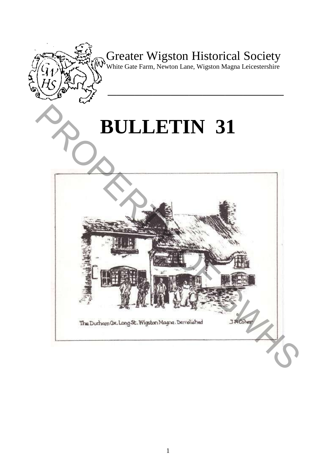

Greater Wigston Historical Society

White Gate Farm, Newton Lane, Wigston Magna Leicestershire

**\_\_\_\_\_\_\_\_\_\_\_\_\_\_\_\_\_\_\_\_\_\_\_\_\_\_\_\_\_\_\_\_\_\_\_\_\_\_\_** 

# **BULLETIN 31**

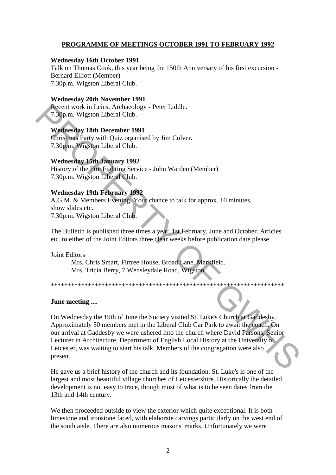#### **PROGRAMME OF MEETINGS OCTOBER 1991 TO FEBRUARY 1992**

#### **Wednesday 16th October 1991**

Talk on Thomas Cook, this year being the 150th Anniversary of his first excursion - Bernard Elliott (Member) 7.30p.m. Wigston Liberal Club.

#### **Wednesday 20th November 1991**

Recent work in Leics. Archaeology - Peter Liddle. 7.30p.m. Wigston Liberal Club.

#### **Wednesday 18th December 1991**

Christmas Party with Quiz organised by Jim Colver. 7.30p.m. Wigston Liberal Club.

#### **Wednesday 15th January 1992**

History of the Fire Fighting Service - John Warden (Member) 7.30p.m. Wigston Liberal Club.

#### **Wednesday 19th February 1992**

A.G.M. & Members Evening. Your chance to talk for approx. 10 minutes, show slides etc. 7.30p.m. Wigston Liberal Club.

The Bulletin is published three times a year. 1st February, June and October. Articles etc. to either of the Joint Editors three clear weeks before publication date please.

Joint Editors

Mrs. Chris Smart, Firtree House, Broad Lane, Markfield. Mrs. Tricia Berry, 7 Wensleydale Road, Wigston.

\*\*\*\*\*\*\*\*\*\*\*\*\*\*\*\*\*\*\*\*\*\*\*\*\*\*\*\*\*\*\*\*\*\*\*\*\*\*\*\*\*\*\*\*\*\*\*\*\*\*\*\*\*\*\*\*\*\*\*\*\*\*\*\*\*\*\*\*\*

#### **June meeting ....**

On Wednesday the 19th of June the Society visited St. Luke's Church at Gaddesby. Approximately 50 members met in the Liberal Club Car Park to await the coach. On our arrival at Gaddesby we were ushered into the church where David Parsons, Senior Lecturer in Architecture, Department of English Local History at the University of Leicester, was waiting to start his talk. Members of the congregation were also present. Recent work in Leics. Archaeology - Peter Liddle.<br>
T.30p.m. Wigston Liberal Club.<br>
Wednesday 18th December 1991<br>
Christmas Party with Quiz organised by Jim Colver.<br>
7.30pm. Wigston Liberal Club.<br>
Wednesday 19th Fighting Se

He gave us a brief history of the church and its foundation. St. Luke's is one of the largest and most beautiful village churches of Leicestershire. Historically the detailed development is not easy to trace, though most of what is to be seen dates from the 13th and 14th century.

We then proceeded outside to view the exterior which quite exceptional. It is both limestone and ironstone faced, with elaborate carvings particularly on the west end of the south aisle. There are also numerous masons' marks. Unfortunately we were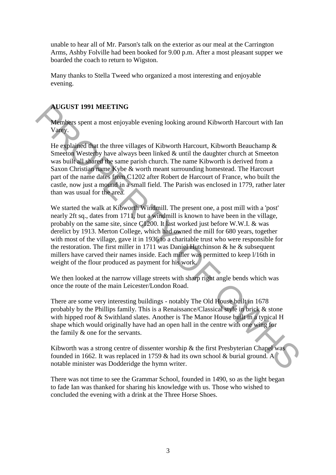unable to hear all of Mr. Parson's talk on the exterior as our meal at the Carrington Arms, Ashby Folville had been booked for 9.00 p.m. After a most pleasant supper we boarded the coach to return to Wigston.

Many thanks to Stella Tweed who organized a most interesting and enjoyable evening.

### **AUGUST 1991 MEETING**

Members spent a most enjoyable evening looking around Kibworth Harcourt with Ian Varey.

He explained that the three villages of Kibworth Harcourt, Kibworth Beauchamp & Smeeton Westerby have always been linked & until the daughter church at Smeeton was built all shared the same parish church. The name Kibworth is derived from a Saxon Christian name Kybe & worth meant surrounding homestead. The Harcourt part of the name dates from C1202 after Robert de Harcourt of France, who built the castle, now just a mound in a small field. The Parish was enclosed in 1779, rather later than was usual for the area.

We started the walk at Kibworth Windmill. The present one, a post mill with a 'post' nearly 2ft sq., dates from 1711, but a windmill is known to have been in the village, probably on the same site, since C1200. It last worked just before W.W.I. & was derelict by 1913. Merton College, which had owned the mill for 680 years, together with most of the village, gave it in 1936 to a charitable trust who were responsible for the restoration. The first miller in 1711 was Daniel Hutchinson  $\&$  he  $\&$  subsequent millers have carved their names inside. Each miller was permitted to keep l/16th in weight of the flour produced as payment for his work. **AUGUST 1991 MEETING**<br> **Members** spent a most enjoyable evening looking around Kibworth Harcourt with Ian<br> **Many.**<br>
He explained that the three villages of Kibworth Harcourt, Kibworth Beauchamp &<br>
Smeebal Westerby have al

We then looked at the narrow village streets with sharp right angle bends which was once the route of the main Leicester/London Road.

There are some very interesting buildings - notably The Old House built in 1678 probably by the Phillips family. This is a Renaissance/Classical style in brick & stone with hipped roof & Swithland slates. Another is The Manor House built in a typical H shape which would originally have had an open hall in the centre with one wing for the family & one for the servants.

Kibworth was a strong centre of dissenter worship & the first Presbyterian Chapel was founded in 1662. It was replaced in 1759 & had its own school & burial ground. A notable minister was Dodderidge the hymn writer.

There was not time to see the Grammar School, founded in 1490, so as the light began to fade Ian was thanked for sharing his knowledge with us. Those who wished to concluded the evening with a drink at the Three Horse Shoes.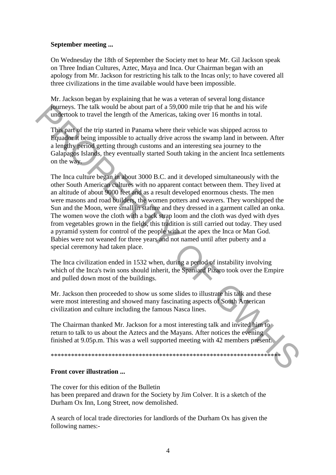#### **September meeting ...**

On Wednesday the 18th of September the Society met to hear Mr. Gil Jackson speak on Three Indian Cultures, Aztec, Maya and Inca. Our Chairman began with an apology from Mr. Jackson for restricting his talk to the Incas only; to have covered all three civilizations in the time available would have been impossible.

Mr. Jackson began by explaining that he was a veteran of several long distance journeys. The talk would be about part of a 59,000 mile trip that he and his wife undertook to travel the length of the Americas, taking over 16 months in total.

This part of the trip started in Panama where their vehicle was shipped across to Equador it being impossible to actually drive across the swamp land in between. After a lengthy period getting through customs and an interesting sea journey to the Galapagos Islands, they eventually started South taking in the ancient Inca settlements on the way.

The Inca culture began in about 3000 B.C. and it developed simultaneously with the other South American cultures with no apparent contact between them. They lived at an altitude of about 9000 feet and as a result developed enormous chests. The men were masons and road builders, the women potters and weavers. They worshipped the Sun and the Moon, were small in stature and they dressed in a garment called an onka. The women wove the cloth with a back strap loom and the cloth was dyed with dyes from vegetables grown in the fields, this tradition is still carried out today. They used a pyramid system for control of the people with at the apex the Inca or Man God. Babies were not weaned for three years and not named until after puberty and a special ceremony had taken place. Foundant Structure and this wind be about part of a 59,000 mile trip that he and his wife<br>
undertook to travel the length of the Americas, taking over 16 months in total.<br>
This part of the trip started in Panama where the

The Inca civilization ended in 1532 when, during a period of instability involving which of the Inca's twin sons should inherit, the Spaniard Pizaro took over the Empire and pulled down most of the buildings.

Mr. Jackson then proceeded to show us some slides to illustrate his talk and these were most interesting and showed many fascinating aspects of South American civilization and culture including the famous Nasca lines.

The Chairman thanked Mr. Jackson for a most interesting talk and invited him to return to talk to us about the Aztecs and the Mayans. After notices the evening finished at 9.05p.m. This was a well supported meeting with 42 members present.

\*\*\*\*\*\*\*\*\*\*\*\*\*\*\*\*\*\*\*\*\*\*\*\*\*\*\*\*\*\*\*\*\*\*\*\*\*\*\*\*\*\*\*\*\*\*\*\*\*\*\*\*\*\*\*\*\*\*\*\*\*\*\*\*\*\*\*\*

#### **Front cover illustration ...**

The cover for this edition of the Bulletin has been prepared and drawn for the Society by Jim Colver. It is a sketch of the Durham Ox Inn, Long Street, now demolished.

A search of local trade directories for landlords of the Durham Ox has given the following names:-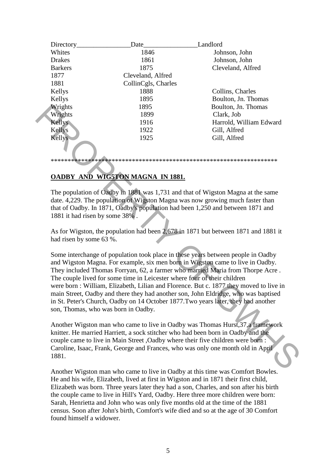| Directory      | Date                | Landlord                |
|----------------|---------------------|-------------------------|
| Whites         | 1846                | Johnson, John           |
| <b>Drakes</b>  | 1861                | Johnson, John           |
| <b>Barkers</b> | 1875                | Cleveland, Alfred       |
| 1877           | Cleveland, Alfred   |                         |
| 1881           | CollinCgls, Charles |                         |
| Kellys         | 1888                | Collins, Charles        |
| Kellys         | 1895                | Boulton, Jn. Thomas     |
| Wrights        | 1895                | Boulton, Jn. Thomas     |
| Wrights        | 1899                | Clark, Job              |
| <b>Kellys</b>  | 1916                | Harrold, William Edward |
| Kellys         | 1922                | Gill, Alfred            |
| <b>Kellys</b>  | 1925                | Gill, Alfred            |
|                |                     |                         |

## **OADBY AND WIG5TON MAGNA IN 1881.**

The population of Oadby in 1881 was 1,731 and that of Wigston Magna at the same date. 4,229. The population of Wigston Magna was now growing much faster than that of Oadby. In 1871, Oadby's population had been 1,250 and between 1871 and 1881 it had risen by some 38% .

\*\*\*\*\*\*\*\*\*\*\*\*\*\*\*\*\*\*\*\*\*\*\*\*\*\*\*\*\*\*\*\*\*\*\*\*\*\*\*\*\*\*\*\*\*\*\*\*\*\*\*\*\*\*\*\*\*\*\*\*\*\*\*\*\*\*\*

As for Wigston, the population had been 2,678 in 1871 but between 1871 and 1881 it had risen by some 63 %.

Some interchange of population took place in these years between people in Oadby and Wigston Magna. For example, six men born in Wigston came to live in Oadby. They included Thomas Forryan, 62, a farmer who married Maria from Thorpe Acre . The couple lived for some time in Leicester where four of their children were born : William, Elizabeth, Lilian and Florence. But c. 1877 they moved to live in main Street, Oadby and there they had another son, John Eldridge, who was baptised in St. Peter's Church, Oadby on 14 October 1877.Two years later, they had another son, Thomas, who was born in Oadby. Whights<br>
Whights<br>
Whights<br>
Websty<br>
1899 Baulton, Jn. Thomas<br>
1899 Clark, Job<br>
1916 Gark, Job<br>
1922 Gill, Alfred<br>
1922 Gill, Alfred<br>
1923 Gill, Alfred<br>
1923 Gill, Alfred<br>
1923 Gill, Alfred<br>
1923 Gill, Alfred<br>
1923 Gill, Al

Another Wigston man who came to live in Oadby was Thomas Hurst,37,a framework knitter. He married Harriett, a sock stitcher who had been born in Oadby and the couple came to live in Main Street ,Oadby where their five children were born : Caroline, Isaac, Frank, George and Frances, who was only one month old in April 1881.

Another Wigston man who came to live in Oadby at this time was Comfort Bowles. He and his wife, Elizabeth, lived at first in Wigston and in 1871 their first child, Elizabeth was born. Three years later they had a son, Charles, and son after his birth the couple came to live in Hill's Yard, Oadby. Here three more children were born: Sarah, Henrietta and John who was only five months old at the time of the 1881 census. Soon after John's birth, Comfort's wife died and so at the age of 30 Comfort found himself a widower.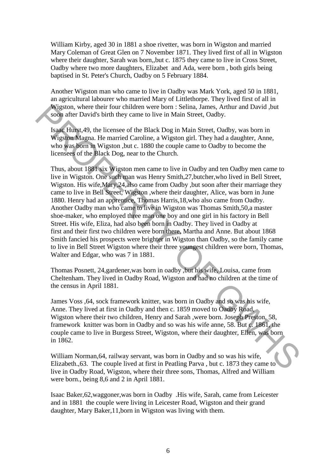William Kirby, aged 30 in 1881 a shoe rivetter, was born in Wigston and married Mary Coleman of Great Glen on 7 November 1871. They lived first of all in Wigston where their daughter, Sarah was born,,but c. 1875 they came to live in Cross Street, Oadby where two more daughters, Elizabet and Ada, were born , both girls being baptised in St. Peter's Church, Oadby on 5 February 1884.

Another Wigston man who came to live in Oadby was Mark York, aged 50 in 1881, an agricultural labourer who married Mary of Littlethorpe. They lived first of all in Wigston, where their four children were born : Selina, James, Arthur and David ,but soon after David's birth they came to live in Main Street, Oadby.

Isaac Hurst,49, the licensee of the Black Dog in Main Street, Oadby, was born in Wigston Magna. He married Caroline, a Wigston girl. They had a daughter, Anne, who was born in Wigston ,but c. 1880 the couple came to Oadby to become the licensees of the Black Dog, near to the Church.

Thus, about 1881 six Wigston men came to live in Oadby and ten Oadby men came to live in Wigston. One such man was Henry Smith,27,butcher,who lived in Bell Street, Wigston. His wife,Mary,24,also came from Oadby ,but soon after their marriage they came to live in Bell Street, Wigston ,where their daughter, Alice, was born in June 1880. Henry had an apprentice, Thomas Harris,18,who also came from Oadby. Another Oadby man who came to live in Wigston was Thomas Smith,50,a master shoe-maker, who employed three man one boy and one girl in his factory in Bell Street. His wife, Eliza, had also been born in Oadby. They lived in Oadby at first and their first two children were born there, Martha and Anne. But about 1868 Smith fancied his prospects were brighter in Wigston than Oadby, so the family came to live in Bell Street Wigston where their three youngest children were born, Thomas, Walter and Edgar, who was 7 in 1881. Wigston, where their four children were born: Selina, James, Arthur and David, but<br>
soon after David's birth they canne to live in Main Street, Oadby, was born in<br>
Wigston Magna. He married Caroline, a Wigston girl. They h

Thomas Posnett, 24,gardener,was born in oadby ,but his wife, Louisa, came from Cheltenham. They lived in Oadby Road, Wigston and had no children at the time of the census in April 1881.

James Voss ,64, sock framework knitter, was born in Oadby and so was his wife, Anne. They lived at first in Oadby and then c. 1859 moved to Oadby Road, Wigston where their two children, Henry and Sarah ,were born. Joseph Preston, 58, framework knitter was born in Oadby and so was his wife anne, 58. But c. 1861, the couple came to live in Burgess Street, Wigston, where their daughter, Ellen, was born in 1862.

William Norman,64, railway servant, was born in Oadby and so was his wife, Elizabeth.,63. The couple lived at first in Peatling Parva , but c. 1873 they came to live in Oadby Road, Wigston, where their three sons, Thomas, Alfred and William were born., being 8,6 and 2 in April 1881.

Isaac Baker,62,waggoner,was born in Oadby .His wife, Sarah, came from Leicester and in 1881 the couple were living in Leicester Road, Wigston and their grand daughter, Mary Baker,11,born in Wigston was living with them.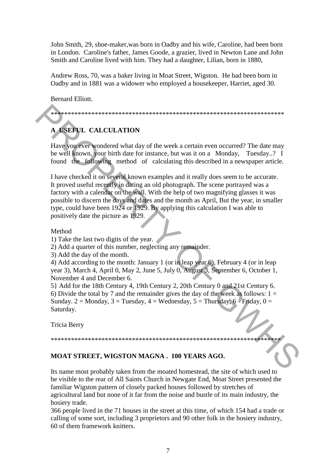John Smith, 29, shoe-maker,was born in Oadby and his wife, Caroline, had been born in London. Caroline's father, James Goode, a grazier, lived in Newton Lane and John Smith and Caroline lived with him. They had a daughter, Lilian, born in 1880,

Andrew Ross, 70, was a baker living in Moat Street, Wigston. He had been born in Oadby and in 1881 was a widower who employed a housekeeper, Harriet, aged 30.

Bernard Elliott.

\*\*\*\*\*\*\*\*\*\*\*\*\*\*\*\*\*\*\*\*\*\*\*\*\*\*\*\*\*\*\*\*\*\*\*\*\*\*\*\*\*\*\*\*\*\*\*\*\*\*\*\*\*\*\*\*\*\*\*\*\*\*\*\*\*\*\*\*\*

# **A USEFUL CALCULATION**

Have you ever wondered what day of the week a certain even occurred? The date may be well known, your birth date for instance, but was it on a Monday, Tuesday..? I found the following method of calculating this described in a newspaper article.

I have checked it on several known examples and it really does seem to be accurate. It proved useful recently in dating an old photograph. The scene portrayed was a factory with a calendar on the wall. With the help of two magnifying glasses it was possible to discern the days and dates and the month as April, But the year, in smaller type, could have been 1924 or 1929. By applying this calculation I was able to positively date the picture as 1929. **A KSEPUL CALCULATION**<br>
Have source wondered what day of the week a certain even occurred? The date may<br>
be well known, your birth date for instance, but was it on a Monday. Tuesday..? I<br>
found the **Collowing** method of c

#### Method

2) Add a quarter of this number, neglecting any remainder.

3) Add the day of the month.

4) Add according to the month: January 1 (or in leap year 0), February 4 (or in leap year 3), March 4, April 0, May 2, June 5, July 0, August 3, September 6, October 1, November 4 and December 6.

5} Add for the 18th Century 4, 19th Century 2, 20th Century 0 and 21st Century 6. 6) Divide the total by 7 and the remainder gives the day of the week as follows:  $1 =$ Sunday. 2 = Monday, 3 = Tuesday, 4 = Wednesday, 5 = Thursday, 6 - Friday,  $0 =$ Saturday.

Tricia Berry

# \*\*\*\*\*\*\*\*\*\*\*\*\*\*\*\*\*\*\*\*\*\*\*\*\*\*\*\*\*\*\*\*\*\*\*\*\*\*\*\*\*\*\*\*\*\*\*\*\*\*\*\*\*\*\*\*\*\*\*\*\*\*\*\*\*\*\*\*

#### **MOAT STREET, WIGSTON MAGNA . 100 YEARS AGO.**

Its name most probably taken from the moated homestead, the site of which used to be visible to the rear of All Saints Church in Newgate End, Moat Street presented the familiar Wigston pattern of closely packed houses followed by stretches of agricultural land but none of it far from the noise and bustle of its main industry, the hosiery trade.

366 people lived in the 71 houses in the street at this time, of which 154 had a trade or calling of some sort, including 3 proprietors and 90 other folk in the hosiery industry, 60 of them framework knitters.

<sup>1)</sup> Take the last two digits of the year.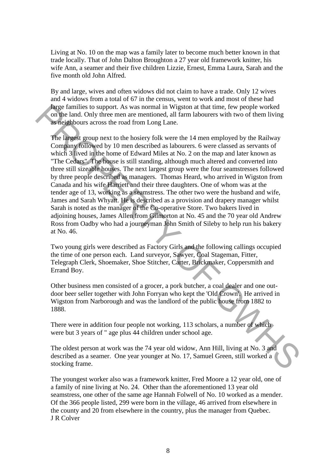Living at No. 10 on the map was a family later to become much better known in that trade locally. That of John Dalton Broughton a 27 year old framework knitter, his wife Ann, a seamer and their five children Lizzie, Ernest, Emma Laura, Sarah and the five month old John Alfred.

By and large, wives and often widows did not claim to have a trade. Only 12 wives and 4 widows from a total of 67 in the census, went to work and most of these had large families to support. As was normal in Wigston at that time, few people worked on the land. Only three men are mentioned, all farm labourers with two of them living as neighbours across the road from Long Lane.

The largest group next to the hosiery folk were the 14 men employed by the Railway Company followed by 10 men described as labourers. 6 were classed as servants of which 3 lived in the home of Edward Miles at No. 2 on the map and later known as "The Cedars". The house is still standing, although much altered and converted into three still sizeable houses. The next largest group were the four seamstresses followed by three people described as managers. Thomas Heard, who arrived in Wigston from Canada and his wife Harriett and their three daughters. One of whom was at the tender age of 13, working as a seamstress. The other two were the husband and wife, James and Sarah Whyatt. He is described as a provision and drapery manager whilst Sarah is noted as the manager of the Co-operative Store. Two bakers lived in adjoining houses, James Allen from Gilmorton at No. 45 and the 70 year old Andrew Ross from Oadby who had a journeyman John Smith of Sileby to help run his bakery at No. 46. Are families to support. As was normal in Wigiton at that time, few people worked<br>
on the land. Only three men are mentioned, all farm laboures with two of them living<br>
as neighbours across the road from Long Lane.<br>
The l

Two young girls were described as Factory Girls and the following callings occupied the time of one person each. Land surveyor, Sawyer, Coal Stageman, Fitter, Telegraph Clerk, Shoemaker, Shoe Stitcher, Carter, Brickmaker, Coppersmith and Errand Boy.

Other business men consisted of a grocer, a pork butcher, a coal dealer and one outdoor beer seller together with John Forryan who kept the 'Old Crown'. He arrived in Wigston from Narborough and was the landlord of the public house from 1882 to 1888.

There were in addition four people not working, 113 scholars, a number of which were but 3 years of " age plus 44 children under school age.

The oldest person at work was the 74 year old widow, Ann Hill, living at No. 3 and described as a seamer. One year younger at No. 17, Samuel Green, still worked a stocking frame.

The youngest worker also was a framework knitter, Fred Moore a 12 year old, one of a family of nine living at No. 24. Other than the aforementioned 13 year old seamstress, one other of the same age Hannah Folwell of No. 10 worked as a mender. Of the 366 people listed, 299 were born in the village, 46 arrived from elsewhere in the county and 20 from elsewhere in the country, plus the manager from Quebec. J R Colver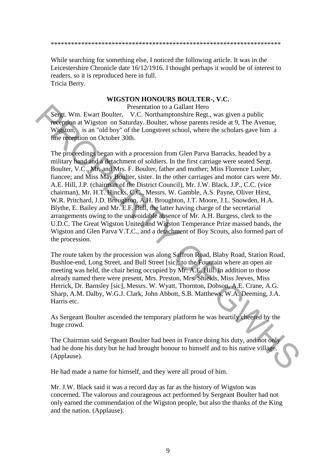#### \*\*\*\*\*\*\*\*\*\*\*\*\*\*\*\*\*\*\*\*\*\*\*\*\*\*\*\*\*\*\*\*\*\*\*\*\*\*\*\*\*\*\*\*\*\*\*\*\*\*\*\*\*\*\*\*\*\*\*\*\*\*\*\*\*\*\*\*

While searching for something else, I noticed the following article. It was in the Leicestershire Chronicle date 16/12/1916. I thought perhaps it would be of interest to readers, so it is reproduced here in full. Tricia Berry.

#### **WIGSTON HONOURS BOULTER-, V.C.**

Presentation to a Gallant Hero

Sergt. Wm. Ewart Boulter, V.C. Northamptonshire Regt., was given a public reception at Wigston on Saturday. Boulter, whose parents reside at 9, The Avenue, Wigston, is an "old boy" of the Longstreet school, where the scholars gave him a fine reception on October 30th.

The proceedings began with a procession from Glen Parva Barracks, headed by a military band and a detachment of soldiers. In the first carriage were seated Sergt. Boulter, V.C., Mr. and Mrs. F. Boulter, father and mother; Miss Florence Lusher, fiancee; and Miss May Boulter, sister. In the other carriages and motor cars were Mr. A.E. Hill, J.P. (chairman of the District Council), Mr. J.W. Black, J.P., C.C. (vice chairman), Mr. H.T. Hincks, C.C., Messrs. W. Gamble, A.S. Payne, Oliver Hirst, W.R. Pritchard, J.D. Broughton, A.H. Broughton, J.T. Moore, J.L. Snowden, H.A. Blythe, E. Bailey and Mr. E.F. Bull, the latter having charge of the secretarial arrangements owing to the unavoidable absence of Mr. A.H. Burgess, clerk to the U.D.C. The Great Wigston United and Wigston Temperance Prize massed bands, the Wigston and Glen Parva V.T.C., and a detachment of Boy Scouts, also formed part of the procession. **Example 19**<br> **Presentation** to a Gallant Hero<br> **Presentation** on the station of a filter through Book and the station of the Longstreet school, where the scholars gave him a<br> **Wiggion** is an "old boy" of the Longstreet sc

The route taken by the procession was along Saffron Road, Blaby Road, Station Road, Bushloe-end, Long Street, and Bull Street [sic]; to the Fountain where an open air meeting was held, the chair being occupied by Mr. A.E. Hill. In addition to those already named there were present, Mrs. Preston, Mrs. Shields, Miss Jeeves, Miss Herrick, Dr. Barnsley [sic], Messrs. W. Wyatt, Thornton, Dobson, A.E. Crane, A.G. Sharp, A.M. Dalby, W.G.J. Clark, John Abbott, S.B. Matthews, W.A. Deeming, J.A. Harris etc.

As Sergeant Boulter ascended the temporary platform he was heartily cheered by the huge crowd.

The Chairman said Sergeant Boulter had been in France doing his duty, and not only had he done his duty but he had brought honour to himself and to his native village. (Applause).

He had made a name for himself, and they were all proud of him.

Mr. J.W. Black said it was a record day as far as the history of Wigston was concerned. The valorous and courageous act performed by Sergeant Boulter had not only earned the commendation of the Wigston people, but also the thanks of the King and the nation. (Applause).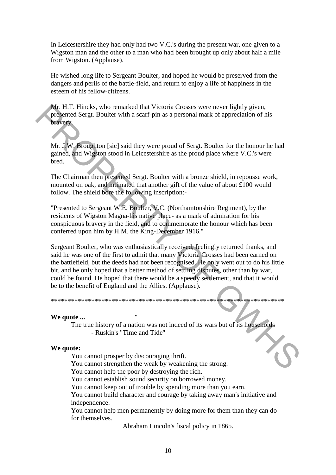In Leicestershire they had only had two V.C.'s during the present war, one given to a Wigston man and the other to a man who had been brought up only about half a mile from Wigston. (Applause).

He wished long life to Sergeant Boulter, and hoped he would be preserved from the dangers and perils of the battle-field, and return to enjoy a life of happiness in the esteem of his fellow-citizens.

Mr. H.T. Hincks, who remarked that Victoria Crosses were never lightly given, presented Sergt. Boulter with a scarf-pin as a personal mark of appreciation of his bravery.

Mr. J.W. Broughton [sic] said they were proud of Sergt. Boulter for the honour he had gained, and Wigston stood in Leicestershire as the proud place where V.C.'s were bred.

The Chairman then presented Sergt. Boulter with a bronze shield, in repousse work, mounted on oak, and intimated that another gift of the value of about £100 would follow. The shield bore the following inscription:-

"Presented to Sergeant W.E. Boulter, V.C. (Northamtonshire Regiment), by the residents of Wigston Magna-his native place- as a mark of admiration for his conspicuous bravery in the field, and to commemorate the honour which has been conferred upon him by H.M. the King-December 1916."

Sergeant Boulter, who was enthusiastically received, feelingly returned thanks, and said he was one of the first to admit that many Victoria Crosses had been earned on the battlefield, but the deeds had not been recognised. He only went out to do his little bit, and he only hoped that a better method of settling disputes, other than by war, could be found. He hoped that there would be a speedy settlement, and that it would be to the benefit of England and the Allies. (Applause). Mr. H.T. Hincoles, who remarked that Victoria Crosses were never lightly given,<br>
Mr. H.W. Broughloon [sic] said they were proud of Sergt. Boulter for the honour he had<br>
gained, and Wigston stood in Leitestershire as the pr

\*\*\*\*\*\*\*\*\*\*\*\*\*\*\*\*\*\*\*\*\*\*\*\*\*\*\*\*\*\*\*\*\*\*\*\*\*\*\*\*\*\*\*\*\*\*\*\*\*\*\*\*\*\*\*\*\*\*\*\*\*\*\*\*\*\*\*\*\*

#### **We quote ...**

The true history of a nation was not indeed of its wars but of its households - Ruskin's "Time and Tide"

#### **We quote:**

You cannot prosper by discouraging thrift.

You cannot strengthen the weak by weakening the strong.

You cannot help the poor by destroying the rich.

You cannot establish sound security on borrowed money.

You cannot keep out of trouble by spending more than you earn.

You cannot build character and courage by taking away man's initiative and independence.

You cannot help men permanently by doing more for them than they can do for themselves.

Abraham Lincoln's fiscal policy in 1865.